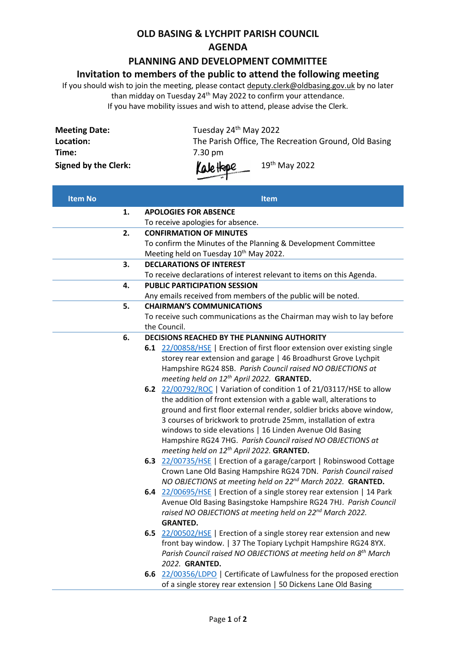#### **OLD BASING & LYCHPIT PARISH COUNCIL AGENDA**

### **PLANNING AND DEVELOPMENT COMMITTEE**

#### **Invitation to members of the public to attend the following meeting**

If you should wish to join the meeting, please contac[t deputy.clerk@oldbasing.gov.uk](mailto:deputy.clerk@oldbasing.gov.uk) by no later than midday on Tuesday 24<sup>th</sup> May 2022 to confirm your attendance. If you have mobility issues and wish to attend, please advise the Clerk.

| <b>Meeting Date:</b>        | Tuesday 24 <sup>th</sup> May 2022                    |
|-----------------------------|------------------------------------------------------|
| Location:                   | The Parish Office, The Recreation Ground, Old Basing |
| Time:                       | 7.30 pm                                              |
| <b>Signed by the Clerk:</b> | Kalettape<br>$19th$ May 2022                         |

| <b>Item No</b> | <b>Item</b>                                                                                                                                 |
|----------------|---------------------------------------------------------------------------------------------------------------------------------------------|
| 1.             | <b>APOLOGIES FOR ABSENCE</b>                                                                                                                |
|                | To receive apologies for absence.                                                                                                           |
| 2.             | <b>CONFIRMATION OF MINUTES</b>                                                                                                              |
|                | To confirm the Minutes of the Planning & Development Committee                                                                              |
|                | Meeting held on Tuesday 10 <sup>th</sup> May 2022.                                                                                          |
| 3.             | <b>DECLARATIONS OF INTEREST</b>                                                                                                             |
|                | To receive declarations of interest relevant to items on this Agenda.                                                                       |
| 4.             | <b>PUBLIC PARTICIPATION SESSION</b>                                                                                                         |
|                | Any emails received from members of the public will be noted.                                                                               |
| 5.             | <b>CHAIRMAN'S COMMUNICATIONS</b>                                                                                                            |
|                | To receive such communications as the Chairman may wish to lay before                                                                       |
|                | the Council.                                                                                                                                |
| 6.             | DECISIONS REACHED BY THE PLANNING AUTHORITY                                                                                                 |
|                | 6.1 22/00858/HSE   Erection of first floor extension over existing single                                                                   |
|                | storey rear extension and garage   46 Broadhurst Grove Lychpit                                                                              |
|                | Hampshire RG24 8SB. Parish Council raised NO OBJECTIONS at                                                                                  |
|                | meeting held on 12 <sup>th</sup> April 2022. GRANTED.                                                                                       |
|                | 6.2 22/00792/ROC   Variation of condition 1 of 21/03117/HSE to allow                                                                        |
|                | the addition of front extension with a gable wall, alterations to                                                                           |
|                | ground and first floor external render, soldier bricks above window,                                                                        |
|                | 3 courses of brickwork to protrude 25mm, installation of extra                                                                              |
|                | windows to side elevations   16 Linden Avenue Old Basing                                                                                    |
|                | Hampshire RG24 7HG. Parish Council raised NO OBJECTIONS at                                                                                  |
|                | meeting held on 12 <sup>th</sup> April 2022. GRANTED.                                                                                       |
|                | 6.3 22/00735/HSE   Erection of a garage/carport   Robinswood Cottage                                                                        |
|                | Crown Lane Old Basing Hampshire RG24 7DN. Parish Council raised                                                                             |
|                | NO OBJECTIONS at meeting held on 22 <sup>nd</sup> March 2022. GRANTED.                                                                      |
|                | 6.4 22/00695/HSE   Erection of a single storey rear extension   14 Park<br>Avenue Old Basing Basingstoke Hampshire RG24 7HJ. Parish Council |
|                | raised NO OBJECTIONS at meeting held on 22 <sup>nd</sup> March 2022.                                                                        |
|                | <b>GRANTED.</b>                                                                                                                             |
|                | 6.5 22/00502/HSE   Erection of a single storey rear extension and new                                                                       |
|                | front bay window.   37 The Topiary Lychpit Hampshire RG24 8YX.                                                                              |
|                | Parish Council raised NO OBJECTIONS at meeting held on 8th March                                                                            |
|                | 2022. GRANTED.                                                                                                                              |
|                | 6.6 22/00356/LDPO   Certificate of Lawfulness for the proposed erection                                                                     |
|                | of a single storey rear extension   50 Dickens Lane Old Basing                                                                              |